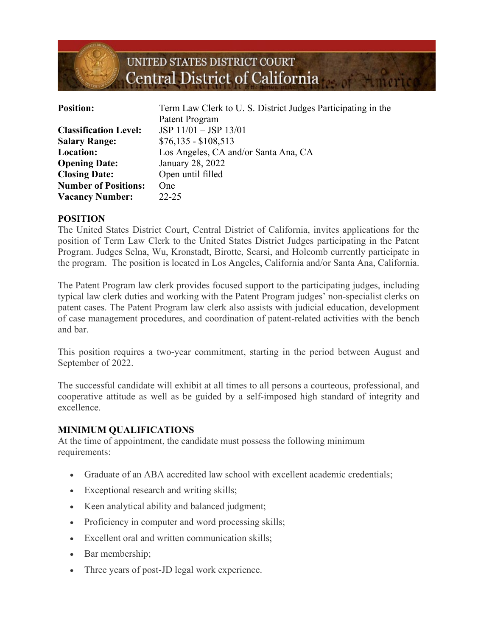

| <b>Position:</b>             | Term Law Clerk to U.S. District Judges Participating in the<br>Patent Program |
|------------------------------|-------------------------------------------------------------------------------|
| <b>Classification Level:</b> | $JSP 11/01 - JSP 13/01$                                                       |
| <b>Salary Range:</b>         | $$76,135 - $108,513$                                                          |
| <b>Location:</b>             | Los Angeles, CA and/or Santa Ana, CA                                          |
| <b>Opening Date:</b>         | January 28, 2022                                                              |
| <b>Closing Date:</b>         | Open until filled                                                             |
| <b>Number of Positions:</b>  | <b>One</b>                                                                    |
| <b>Vacancy Number:</b>       | $22 - 25$                                                                     |

### **POSITION**

The United States District Court, Central District of California, invites applications for the position of Term Law Clerk to the United States District Judges participating in the Patent Program. Judges Selna, Wu, Kronstadt, Birotte, Scarsi, and Holcomb currently participate in the program. The position is located in Los Angeles, California and/or Santa Ana, California.

The Patent Program law clerk provides focused support to the participating judges, including typical law clerk duties and working with the Patent Program judges' non-specialist clerks on patent cases. The Patent Program law clerk also assists with judicial education, development of case management procedures, and coordination of patent-related activities with the bench and bar.

This position requires a two-year commitment, starting in the period between August and September of 2022.

The successful candidate will exhibit at all times to all persons a courteous, professional, and cooperative attitude as well as be guided by a self-imposed high standard of integrity and excellence.

#### **MINIMUM QUALIFICATIONS**

At the time of appointment, the candidate must possess the following minimum requirements:

- Graduate of an ABA accredited law school with excellent academic credentials;
- Exceptional research and writing skills;
- Keen analytical ability and balanced judgment;
- Proficiency in computer and word processing skills;
- Excellent oral and written communication skills;
- Bar membership;
- Three years of post-JD legal work experience.